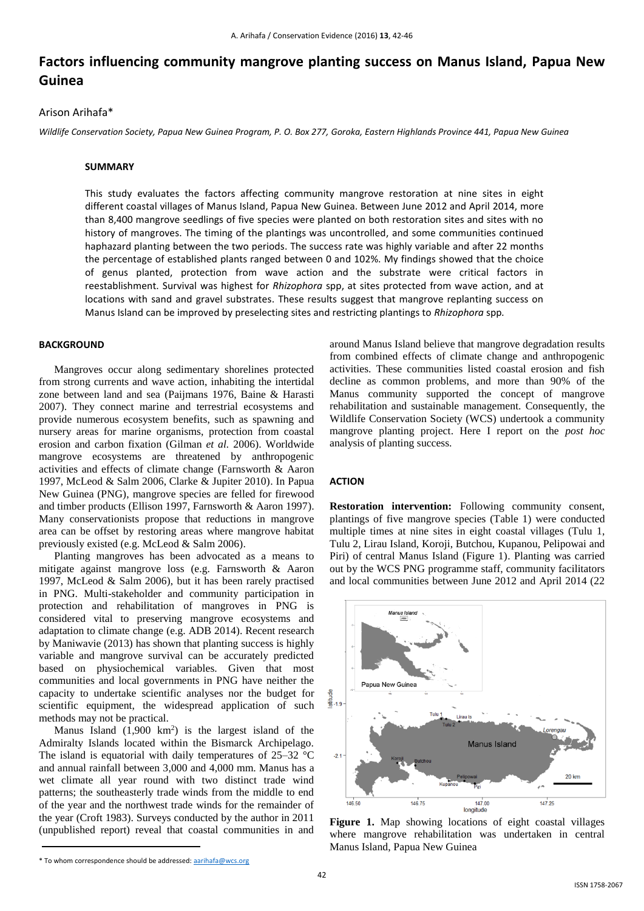# **Factors influencing community mangrove planting success on Manus Island, Papua New Guinea**

### Arison Arihafa\*

*Wildlife Conservation Society, Papua New Guinea Program, P. O. Box 277, Goroka, Eastern Highlands Province 441, Papua New Guinea*

#### **SUMMARY**

This study evaluates the factors affecting community mangrove restoration at nine sites in eight different coastal villages of Manus Island, Papua New Guinea. Between June 2012 and April 2014, more than 8,400 mangrove seedlings of five species were planted on both restoration sites and sites with no history of mangroves. The timing of the plantings was uncontrolled, and some communities continued haphazard planting between the two periods. The success rate was highly variable and after 22 months the percentage of established plants ranged between 0 and 102%. My findings showed that the choice of genus planted, protection from wave action and the substrate were critical factors in reestablishment. Survival was highest for *Rhizophora* spp, at sites protected from wave action, and at locations with sand and gravel substrates. These results suggest that mangrove replanting success on Manus Island can be improved by preselecting sites and restricting plantings to *Rhizophora* spp*.*

## **BACKGROUND**

Mangroves occur along sedimentary shorelines protected from strong currents and wave action, inhabiting the intertidal zone between land and sea (Paijmans 1976, Baine & Harasti 2007). They connect marine and terrestrial ecosystems and provide numerous ecosystem benefits, such as spawning and nursery areas for marine organisms, protection from coastal erosion and carbon fixation (Gilman *et al.* 2006). Worldwide mangrove ecosystems are threatened by anthropogenic activities and effects of climate change (Farnsworth & Aaron 1997, McLeod & Salm 2006, Clarke & Jupiter 2010). In Papua New Guinea (PNG), mangrove species are felled for firewood and timber products (Ellison 1997, Farnsworth & Aaron 1997). Many conservationists propose that reductions in mangrove area can be offset by restoring areas where mangrove habitat previously existed (e.g. McLeod & Salm 2006).

Planting mangroves has been advocated as a means to mitigate against mangrove loss (e.g. Farnsworth & Aaron 1997, McLeod & Salm 2006), but it has been rarely practised in PNG. Multi-stakeholder and community participation in protection and rehabilitation of mangroves in PNG is considered vital to preserving mangrove ecosystems and adaptation to climate change (e.g. ADB 2014). Recent research by Maniwavie (2013) has shown that planting success is highly variable and mangrove survival can be accurately predicted based on physiochemical variables. Given that most communities and local governments in PNG have neither the capacity to undertake scientific analyses nor the budget for scientific equipment, the widespread application of such methods may not be practical.

Manus Island  $(1,900 \text{ km}^2)$  is the largest island of the Admiralty Islands located within the Bismarck Archipelago. The island is equatorial with daily temperatures of 25–32 °C and annual rainfall between 3,000 and 4,000 mm. Manus has a wet climate all year round with two distinct trade wind patterns; the southeasterly trade winds from the middle to end of the year and the northwest trade winds for the remainder of the year (Croft 1983). Surveys conducted by the author in 2011 (unpublished report) reveal that coastal communities in and

around Manus Island believe that mangrove degradation results from combined effects of climate change and anthropogenic activities. These communities listed coastal erosion and fish decline as common problems, and more than 90% of the Manus community supported the concept of mangrove rehabilitation and sustainable management. Consequently, the Wildlife Conservation Society (WCS) undertook a community mangrove planting project. Here I report on the *post hoc* analysis of planting success.

## **ACTION**

**Restoration intervention:** Following community consent, plantings of five mangrove species (Table 1) were conducted multiple times at nine sites in eight coastal villages (Tulu 1, Tulu 2, Lirau Island, Koroji, Butchou, Kupanou, Pelipowai and Piri) of central Manus Island (Figure 1). Planting was carried out by the WCS PNG programme staff, community facilitators and local communities between June 2012 and April 2014 (22



**Figure 1.** Map showing locations of eight coastal villages where mangrove rehabilitation was undertaken in central Manus Island, Papua New Guinea

<sup>\*</sup> To whom correspondence should be addressed[: aarihafa@wcs.org](mailto:aarihafa@wcs.org)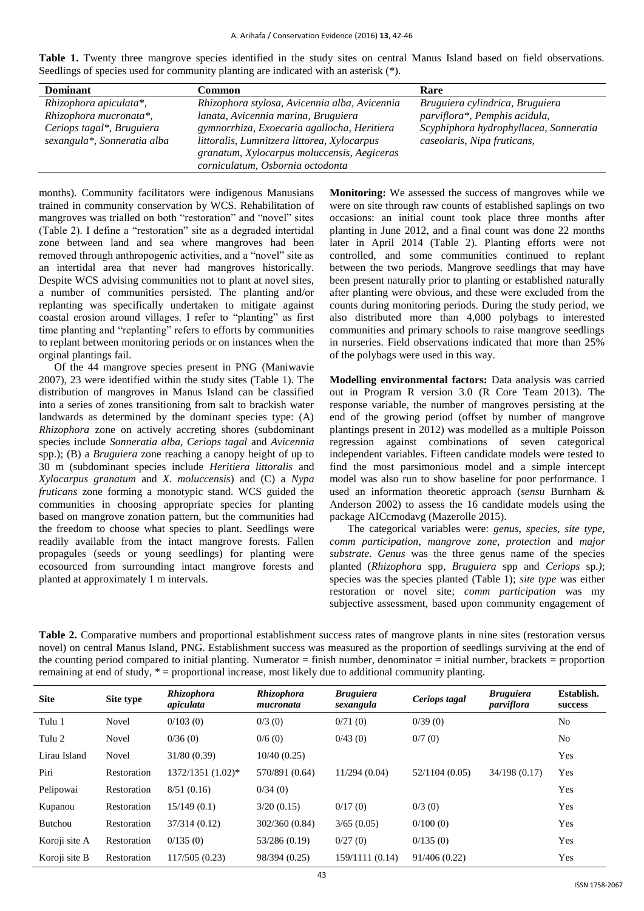|  |  |                                                                                      |  |  |  |  |  |  | Table 1. Twenty three mangrove species identified in the study sites on central Manus Island based on field observations. |
|--|--|--------------------------------------------------------------------------------------|--|--|--|--|--|--|---------------------------------------------------------------------------------------------------------------------------|
|  |  | Seedlings of species used for community planting are indicated with an asterisk (*). |  |  |  |  |  |  |                                                                                                                           |

| <b>Dominant</b>             | Common                                        | Rare                                   |
|-----------------------------|-----------------------------------------------|----------------------------------------|
| Rhizophora apiculata*,      | Rhizophora stylosa, Avicennia alba, Avicennia | Bruguiera cylindrica, Bruguiera        |
| Rhizophora mucronata*,      | lanata, Avicennia marina, Bruguiera           | parviflora*, Pemphis acidula,          |
| Ceriops tagal*, Bruguiera   | gymnorrhiza, Exoecaria agallocha, Heritiera   | Scyphiphora hydrophyllacea, Sonneratia |
| sexangula*, Sonneratia alba | littoralis, Lumnitzera littorea, Xylocarpus   | caseolaris, Nipa fruticans,            |
|                             | granatum, Xylocarpus moluccensis, Aegiceras   |                                        |
|                             | corniculatum, Osbornia octodonta              |                                        |

months). Community facilitators were indigenous Manusians trained in community conservation by WCS. Rehabilitation of mangroves was trialled on both "restoration" and "novel" sites (Table 2). I define a "restoration" site as a degraded intertidal zone between land and sea where mangroves had been removed through anthropogenic activities, and a "novel" site as an intertidal area that never had mangroves historically. Despite WCS advising communities not to plant at novel sites, a number of communities persisted. The planting and/or replanting was specifically undertaken to mitigate against coastal erosion around villages. I refer to "planting" as first time planting and "replanting" refers to efforts by communities to replant between monitoring periods or on instances when the orginal plantings fail.

Of the 44 mangrove species present in PNG (Maniwavie 2007), 23 were identified within the study sites (Table 1). The distribution of mangroves in Manus Island can be classified into a series of zones transitioning from salt to brackish water landwards as determined by the dominant species type: (A) *Rhizophora* zone on actively accreting shores (subdominant species include *Sonneratia alba, Ceriops tagal* and *Avicennia*  spp.); (B) a *Bruguiera* zone reaching a canopy height of up to 30 m (subdominant species include *Heritiera littoralis* and *Xylocarpus granatum* and *X. moluccensis*) and (C) a *Nypa fruticans* zone forming a monotypic stand. WCS guided the communities in choosing appropriate species for planting based on mangrove zonation pattern, but the communities had the freedom to choose what species to plant. Seedlings were readily available from the intact mangrove forests. Fallen propagules (seeds or young seedlings) for planting were ecosourced from surrounding intact mangrove forests and planted at approximately 1 m intervals.

**Monitoring:** We assessed the success of mangroves while we were on site through raw counts of established saplings on two occasions: an initial count took place three months after planting in June 2012, and a final count was done 22 months later in April 2014 (Table 2). Planting efforts were not controlled, and some communities continued to replant between the two periods. Mangrove seedlings that may have been present naturally prior to planting or established naturally after planting were obvious, and these were excluded from the counts during monitoring periods. During the study period, we also distributed more than 4,000 polybags to interested communities and primary schools to raise mangrove seedlings in nurseries. Field observations indicated that more than 25% of the polybags were used in this way.

**Modelling environmental factors:** Data analysis was carried out in Program R version 3.0 (R Core Team 2013). The response variable, the number of mangroves persisting at the end of the growing period (offset by number of mangrove plantings present in 2012) was modelled as a multiple Poisson regression against combinations of seven categorical independent variables. Fifteen candidate models were tested to find the most parsimonious model and a simple intercept model was also run to show baseline for poor performance. I used an information theoretic approach (*sensu* Burnham & Anderson 2002) to assess the 16 candidate models using the package AICcmodavg (Mazerolle 2015).

The categorical variables were: *genus*, *species, site type*, *comm participation*, *mangrove zone*, *protection* and *major substrate. Genus* was the three genus name of the species planted (*Rhizophora* spp, *Bruguiera* spp and *Ceriops* sp*.)*; species was the species planted (Table 1); *site type* was either restoration or novel site; *comm participation* was my subjective assessment, based upon community engagement of

**Table 2.** Comparative numbers and proportional establishment success rates of mangrove plants in nine sites (restoration versus novel) on central Manus Island, PNG. Establishment success was measured as the proportion of seedlings surviving at the end of the counting period compared to initial planting. Numerator = finish number, denominator = initial number, brackets = proportion remaining at end of study, \* = proportional increase, most likely due to additional community planting.

| <b>Site</b>    | Site type   | Rhizophora<br>apiculata | Rhizophora<br>mucronata | <b>Bruguiera</b><br>sexangula | Ceriops tagal  | <b>Bruguiera</b><br>parviflora | Establish.<br>success |
|----------------|-------------|-------------------------|-------------------------|-------------------------------|----------------|--------------------------------|-----------------------|
| Tulu 1         | Novel       | 0/103(0)                | 0/3(0)                  | 0/71(0)                       | 0/39(0)        |                                | No                    |
| Tulu 2         | Novel       | 0/36(0)                 | 0/6(0)                  | 0/43(0)                       | 0/7(0)         |                                | No                    |
| Lirau Island   | Novel       | 31/80(0.39)             | 10/40(0.25)             |                               |                |                                | Yes                   |
| Piri           | Restoration | 1372/1351 (1.02)*       | 570/891 (0.64)          | 11/294(0.04)                  | 52/1104 (0.05) | 34/198(0.17)                   | Yes                   |
| Pelipowai      | Restoration | 8/51(0.16)              | 0/34(0)                 |                               |                |                                | Yes                   |
| Kupanou        | Restoration | 15/149(0.1)             | 3/20(0.15)              | 0/17(0)                       | 0/3(0)         |                                | Yes                   |
| <b>Butchou</b> | Restoration | 37/314 (0.12)           | 302/360 (0.84)          | 3/65(0.05)                    | 0/100(0)       |                                | Yes                   |
| Koroji site A  | Restoration | 0/135(0)                | 53/286 (0.19)           | 0/27(0)                       | 0/135(0)       |                                | Yes                   |
| Koroji site B  | Restoration | 117/505 (0.23)          | 98/394 (0.25)           | 159/1111 (0.14)               | 91/406(0.22)   |                                | Yes                   |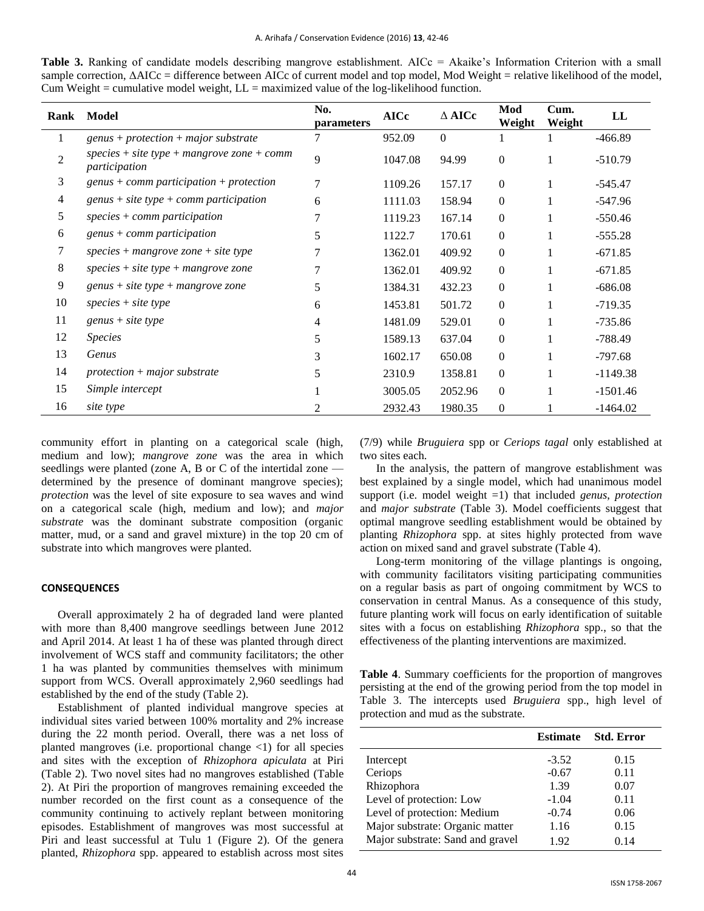| Rank           | <b>Model</b>                                                  | No.<br>parameters | <b>AICc</b> | $\triangle$ AICc | Mod<br>Weight    | Cum.<br>Weight | LL         |
|----------------|---------------------------------------------------------------|-------------------|-------------|------------------|------------------|----------------|------------|
|                | $genus + protection + major substrate$                        | 7                 | 952.09      | $\theta$         |                  |                | $-466.89$  |
| $\mathfrak{D}$ | $species + site type + mangrove zone + comm$<br>participation | 9                 | 1047.08     | 94.99            | $\mathbf{0}$     |                | $-510.79$  |
| 3              | $genus + comm$ participation + protection                     | 7                 | 1109.26     | 157.17           | $\boldsymbol{0}$ |                | $-545.47$  |
| 4              | $genus + site type + comm$ participation                      | 6                 | 1111.03     | 158.94           | $\boldsymbol{0}$ |                | $-547.96$  |
| 5              | $species + comm$ participation                                | 7                 | 1119.23     | 167.14           | $\boldsymbol{0}$ |                | $-550.46$  |
| 6              | $genus + comm$ participation                                  | 5                 | 1122.7      | 170.61           | $\mathbf{0}$     |                | $-555.28$  |
| 7              | $species + mangrove zone + site type$                         |                   | 1362.01     | 409.92           | $\mathbf{0}$     |                | $-671.85$  |
| 8              | $species + site type + mangrove zone$                         |                   | 1362.01     | 409.92           | $\mathbf{0}$     |                | $-671.85$  |
| 9              | $genus + site type + mangrove zone$                           | 5                 | 1384.31     | 432.23           | $\mathbf{0}$     |                | $-686.08$  |
| 10             | $species + site$ type                                         | 6                 | 1453.81     | 501.72           | $\mathbf{0}$     |                | $-719.35$  |
| 11             | $genus + site type$                                           | 4                 | 1481.09     | 529.01           | $\theta$         |                | $-735.86$  |
| 12             | <b>Species</b>                                                | 5                 | 1589.13     | 637.04           | $\theta$         |                | -788.49    |
| 13             | Genus                                                         | 3                 | 1602.17     | 650.08           | $\mathbf{0}$     |                | $-797.68$  |
| 14             | $protection + major substrate$                                |                   | 2310.9      | 1358.81          | $\mathbf{0}$     |                | $-1149.38$ |
| 15             | Simple intercept                                              |                   | 3005.05     | 2052.96          | $\mathbf{0}$     |                | $-1501.46$ |
| 16             | site type                                                     |                   | 2932.43     | 1980.35          | $\mathbf{0}$     |                | $-1464.02$ |

**Table 3.** Ranking of candidate models describing mangrove establishment. AICc = Akaike's Information Criterion with a small sample correction, ΔAICc = difference between AICc of current model and top model, Mod Weight = relative likelihood of the model, Cum Weight  $=$  cumulative model weight, LL  $=$  maximized value of the log-likelihood function.

community effort in planting on a categorical scale (high, medium and low); *mangrove zone* was the area in which seedlings were planted (zone A, B or C of the intertidal zone determined by the presence of dominant mangrove species); *protection* was the level of site exposure to sea waves and wind on a categorical scale (high, medium and low); and *major substrate* was the dominant substrate composition (organic matter, mud, or a sand and gravel mixture) in the top 20 cm of substrate into which mangroves were planted.

#### **CONSEQUENCES**

Overall approximately 2 ha of degraded land were planted with more than 8,400 mangrove seedlings between June 2012 and April 2014. At least 1 ha of these was planted through direct involvement of WCS staff and community facilitators; the other 1 ha was planted by communities themselves with minimum support from WCS. Overall approximately 2,960 seedlings had established by the end of the study (Table 2).

Establishment of planted individual mangrove species at individual sites varied between 100% mortality and 2% increase during the 22 month period. Overall, there was a net loss of planted mangroves (i.e. proportional change <1) for all species and sites with the exception of *Rhizophora apiculata* at Piri (Table 2). Two novel sites had no mangroves established (Table 2). At Piri the proportion of mangroves remaining exceeded the number recorded on the first count as a consequence of the community continuing to actively replant between monitoring episodes. Establishment of mangroves was most successful at Piri and least successful at Tulu 1 (Figure 2). Of the genera planted, *Rhizophora* spp. appeared to establish across most sites (7/9) while *Bruguiera* spp or *Ceriops tagal* only established at two sites each.

In the analysis, the pattern of mangrove establishment was best explained by a single model, which had unanimous model support (i.e. model weight =1) that included *genus*, *protection*  and *major substrate* (Table 3). Model coefficients suggest that optimal mangrove seedling establishment would be obtained by planting *Rhizophora* spp. at sites highly protected from wave action on mixed sand and gravel substrate (Table 4).

Long-term monitoring of the village plantings is ongoing, with community facilitators visiting participating communities on a regular basis as part of ongoing commitment by WCS to conservation in central Manus. As a consequence of this study, future planting work will focus on early identification of suitable sites with a focus on establishing *Rhizophora* spp., so that the effectiveness of the planting interventions are maximized.

**Table 4**. Summary coefficients for the proportion of mangroves persisting at the end of the growing period from the top model in Table 3. The intercepts used *Bruguiera* spp., high level of protection and mud as the substrate.

|                                  | <b>Estimate</b> | <b>Std. Error</b> |
|----------------------------------|-----------------|-------------------|
| Intercept                        | $-3.52$         | 0.15              |
| Ceriops                          | $-0.67$         | 0.11              |
| Rhizophora                       | 1.39            | 0.07              |
| Level of protection: Low         | $-1.04$         | 0.11              |
| Level of protection: Medium      | $-0.74$         | 0.06              |
| Major substrate: Organic matter  | 1.16            | 0.15              |
| Major substrate: Sand and gravel | 1.92            | 0.14              |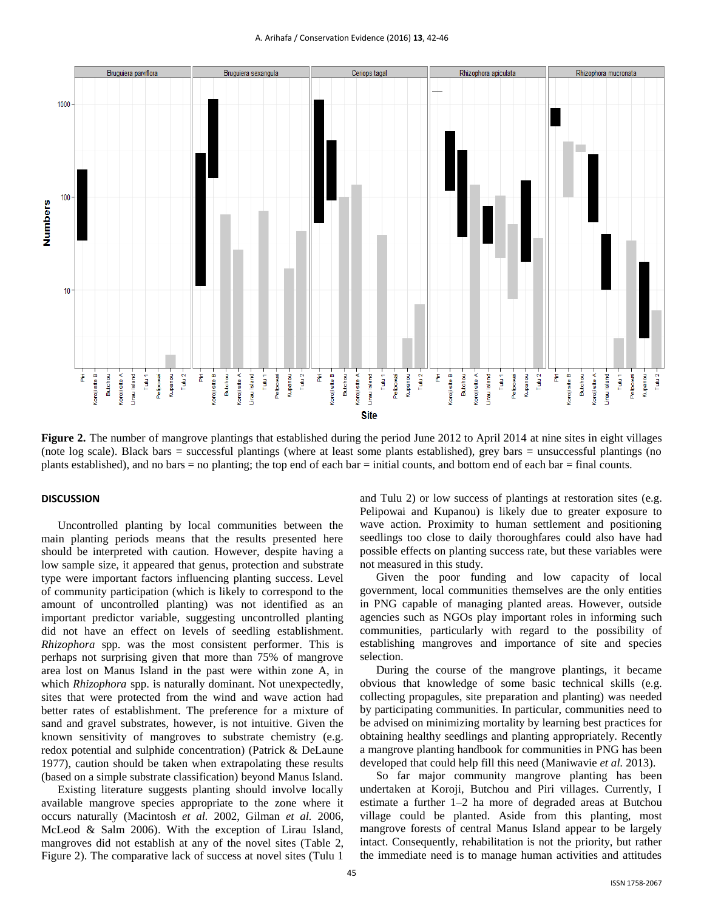#### A. Arihafa / Conservation Evidence (2016) **13**, 42-46



**Figure 2.** The number of mangrove plantings that established during the period June 2012 to April 2014 at nine sites in eight villages (note log scale). Black bars = successful plantings (where at least some plants established), grey bars = unsuccessful plantings (no plants established), and no bars = no planting; the top end of each bar = initial counts, and bottom end of each bar = final counts.

#### **DISCUSSION**

Uncontrolled planting by local communities between the main planting periods means that the results presented here should be interpreted with caution. However, despite having a low sample size, it appeared that genus, protection and substrate type were important factors influencing planting success. Level of community participation (which is likely to correspond to the amount of uncontrolled planting) was not identified as an important predictor variable, suggesting uncontrolled planting did not have an effect on levels of seedling establishment. *Rhizophora* spp. was the most consistent performer. This is perhaps not surprising given that more than 75% of mangrove area lost on Manus Island in the past were within zone A, in which *Rhizophora* spp. is naturally dominant. Not unexpectedly, sites that were protected from the wind and wave action had better rates of establishment. The preference for a mixture of sand and gravel substrates, however, is not intuitive. Given the known sensitivity of mangroves to substrate chemistry (e.g. redox potential and sulphide concentration) (Patrick & DeLaune 1977), caution should be taken when extrapolating these results (based on a simple substrate classification) beyond Manus Island.

Existing literature suggests planting should involve locally available mangrove species appropriate to the zone where it occurs naturally (Macintosh *et al.* 2002, Gilman *et al.* 2006, McLeod & Salm 2006). With the exception of Lirau Island, mangroves did not establish at any of the novel sites (Table 2, Figure 2). The comparative lack of success at novel sites (Tulu 1

and Tulu 2) or low success of plantings at restoration sites (e.g. Pelipowai and Kupanou) is likely due to greater exposure to wave action. Proximity to human settlement and positioning seedlings too close to daily thoroughfares could also have had possible effects on planting success rate, but these variables were not measured in this study.

Given the poor funding and low capacity of local government, local communities themselves are the only entities in PNG capable of managing planted areas. However, outside agencies such as NGOs play important roles in informing such communities, particularly with regard to the possibility of establishing mangroves and importance of site and species selection.

During the course of the mangrove plantings, it became obvious that knowledge of some basic technical skills (e.g. collecting propagules, site preparation and planting) was needed by participating communities. In particular, communities need to be advised on minimizing mortality by learning best practices for obtaining healthy seedlings and planting appropriately. Recently a mangrove planting handbook for communities in PNG has been developed that could help fill this need (Maniwavie *et al.* 2013).

So far major community mangrove planting has been undertaken at Koroji, Butchou and Piri villages. Currently, I estimate a further 1–2 ha more of degraded areas at Butchou village could be planted. Aside from this planting, most mangrove forests of central Manus Island appear to be largely intact. Consequently, rehabilitation is not the priority, but rather the immediate need is to manage human activities and attitudes